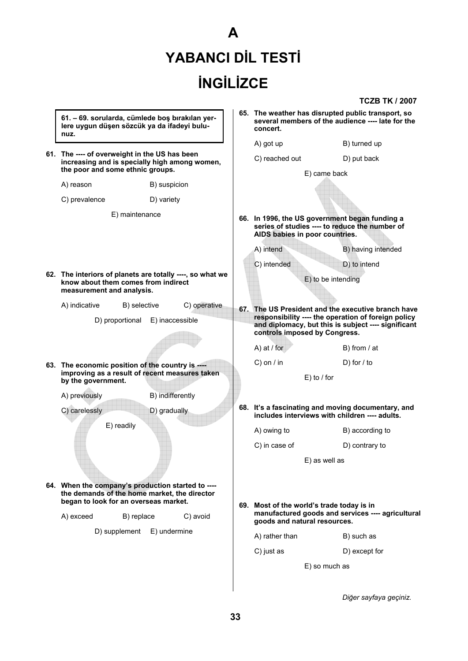# **A YABANCI DİL TESTİ İNGİLİZCE**

**TCZB TK / 2007**

|  | 61. - 69. sorularda, cümlede boş bırakılan yer-<br>lere uygun düşen sözcük ya da ifadeyi bulu-<br>nuz.                             |                  |     | 65. The weather has disrupted public transport, so<br>several members of the audience ---- late for the<br>concert.                         |               |                                                    |
|--|------------------------------------------------------------------------------------------------------------------------------------|------------------|-----|---------------------------------------------------------------------------------------------------------------------------------------------|---------------|----------------------------------------------------|
|  |                                                                                                                                    |                  |     | A) got up                                                                                                                                   |               | B) turned up                                       |
|  | 61. The ---- of overweight in the US has been<br>increasing and is specially high among women,<br>the poor and some ethnic groups. |                  |     | C) reached out                                                                                                                              |               | D) put back                                        |
|  |                                                                                                                                    |                  |     | E) came back                                                                                                                                |               |                                                    |
|  | A) reason                                                                                                                          | B) suspicion     |     |                                                                                                                                             |               |                                                    |
|  | C) prevalence                                                                                                                      | D) variety       |     |                                                                                                                                             |               |                                                    |
|  | E) maintenance                                                                                                                     |                  |     | 66. In 1996, the US government began funding a<br>series of studies ---- to reduce the number of<br>AIDS babies in poor countries.          |               |                                                    |
|  |                                                                                                                                    |                  |     | A) intend                                                                                                                                   |               | B) having intended                                 |
|  | 62. The interiors of planets are totally ----, so what we<br>know about them comes from indirect<br>measurement and analysis.      |                  |     | C) intended                                                                                                                                 |               | D) to intend                                       |
|  |                                                                                                                                    |                  |     | E) to be intending                                                                                                                          |               |                                                    |
|  | A) indicative<br>B) selective                                                                                                      | C) operative     |     |                                                                                                                                             |               | 67. The US President and the executive branch have |
|  | D) proportional<br>E) inaccessible                                                                                                 |                  |     | responsibility ---- the operation of foreign policy<br>and diplomacy, but this is subject ---- significant<br>controls imposed by Congress. |               |                                                    |
|  |                                                                                                                                    |                  |     | A) at $/$ for                                                                                                                               |               | B) from $/$ at                                     |
|  | 63. The economic position of the country is ----                                                                                   |                  |     | $C$ ) on / in                                                                                                                               |               | D) for $\prime$ to                                 |
|  | improving as a result of recent measures taken<br>by the government.                                                               |                  |     | $E)$ to / for                                                                                                                               |               |                                                    |
|  | A) previously                                                                                                                      | B) indifferently |     |                                                                                                                                             |               |                                                    |
|  | C) carelessly                                                                                                                      | D) gradually     |     | 68. It's a fascinating and moving documentary, and<br>includes interviews with children ---- adults.                                        |               |                                                    |
|  | E) readily                                                                                                                         |                  |     | A) owing to                                                                                                                                 |               | B) according to                                    |
|  |                                                                                                                                    |                  |     | C) in case of                                                                                                                               |               | D) contrary to                                     |
|  |                                                                                                                                    |                  |     | E) as well as                                                                                                                               |               |                                                    |
|  |                                                                                                                                    |                  |     |                                                                                                                                             |               |                                                    |
|  | 64. When the company's production started to ----<br>the demands of the home market, the director                                  |                  |     |                                                                                                                                             |               |                                                    |
|  | began to look for an overseas market.                                                                                              |                  | 69. | Most of the world's trade today is in                                                                                                       |               |                                                    |
|  | A) exceed<br>B) replace                                                                                                            | C) avoid         |     | manufactured goods and services ---- agricultural<br>goods and natural resources.                                                           |               |                                                    |
|  | D) supplement                                                                                                                      | E) undermine     |     | A) rather than                                                                                                                              |               | B) such as                                         |
|  |                                                                                                                                    |                  |     | C) just as                                                                                                                                  |               | D) except for                                      |
|  |                                                                                                                                    |                  |     |                                                                                                                                             | E) so much as |                                                    |
|  |                                                                                                                                    |                  |     |                                                                                                                                             |               |                                                    |

 *Diğer sayfaya geçiniz.* 

 $\vert$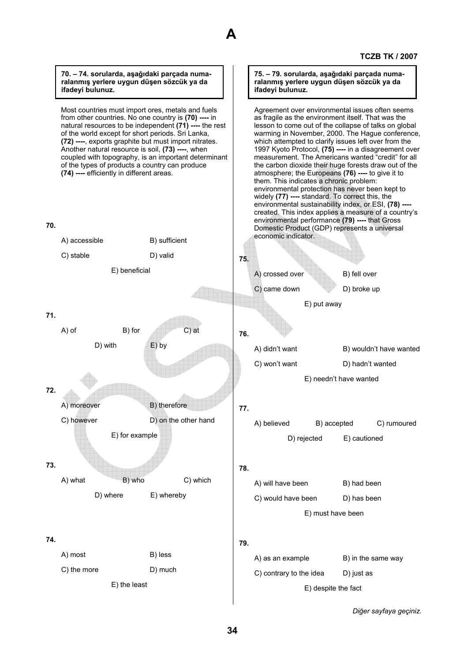

Most countries must import ores, metals and fuels from other countries. No one country is **(70) ----** in natural resources to be independent **(71) ----** the rest of the world except for short periods. Sri Lanka, **(72) ----**, exports graphite but must import nitrates. Another natural resource is soil, **(73) ----**, when coupled with topography, is an important determinant of the types of products a country can produce **(74) ----** efficiently in different areas.

## **70.**



**A** 

*Diğer sayfaya geçiniz.* 

**TCZB TK / 2007**

**75. – 79. sorularda, aşağıdaki parçada numaralanmış yerlere uygun düşen sözcük ya da** 

Agreement over environmental issues often seems as fragile as the environment itself. That was the lesson to come out of the collapse of talks on global warming in November, 2000. The Hague conference, which attempted to clarify issues left over from the 1997 Kyoto Protocol, **(75) ----** in a disagreement over measurement. The Americans wanted "credit" for all the carbon dioxide their huge forests draw out of the atmosphere; the Europeans **(76) ----** to give it to

them. This indicates a chronic problem:

environmental protection has never been kept to widely **(77) ----** standard. To correct this, the environmental sustainability index, or ESI, **(78) ----**

**ifadeyi bulunuz.**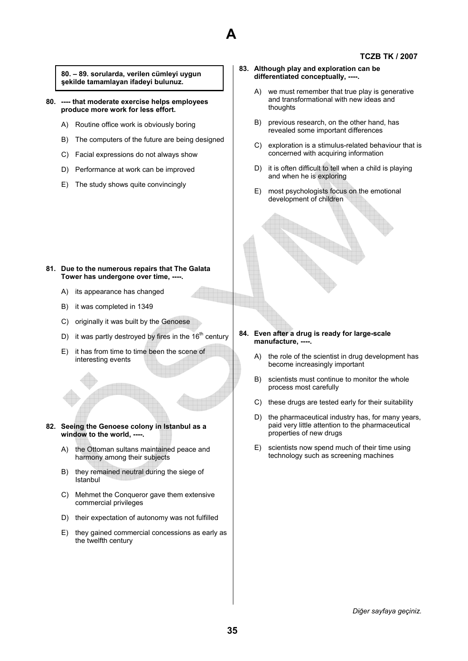

**80. – 89. sorularda, verilen cümleyi uygun şekilde tamamlayan ifadeyi bulunuz.** 

**80. ---- that moderate exercise helps employees produce more work for less effort.** 

- A) Routine office work is obviously boring
- B) The computers of the future are being designed
- C) Facial expressions do not always show
- D) Performance at work can be improved
- E) The study shows quite convincingly
- **83. Although play and exploration can be differentiated conceptually, ----.** 
	- A) we must remember that true play is generative and transformational with new ideas and thoughts
	- B) previous research, on the other hand, has revealed some important differences
	- C) exploration is a stimulus-related behaviour that is concerned with acquiring information
	- D) it is often difficult to tell when a child is playing and when he is exploring
	- E) most psychologists focus on the emotional development of children

# **81. Due to the numerous repairs that The Galata Tower has undergone over time, ----.**

- A) its appearance has changed
- B) it was completed in 1349
- C) originally it was built by the Genoese
- D) it was partly destroyed by fires in the  $16<sup>th</sup>$  century
- E) it has from time to time been the scene of interesting events
- **82. Seeing the Genoese colony in Istanbul as a window to the world, ----.** 
	- A) the Ottoman sultans maintained peace and harmony among their subjects
	- B) they remained neutral during the siege of Istanbul
	- C) Mehmet the Conqueror gave them extensive commercial privileges
	- D) their expectation of autonomy was not fulfilled
	- E) they gained commercial concessions as early as the twelfth century

# **84. Even after a drug is ready for large-scale manufacture, ----.**

- A) the role of the scientist in drug development has become increasingly important
- B) scientists must continue to monitor the whole process most carefully
- C) these drugs are tested early for their suitability
- D) the pharmaceutical industry has, for many years, paid very little attention to the pharmaceutical properties of new drugs
- E) scientists now spend much of their time using technology such as screening machines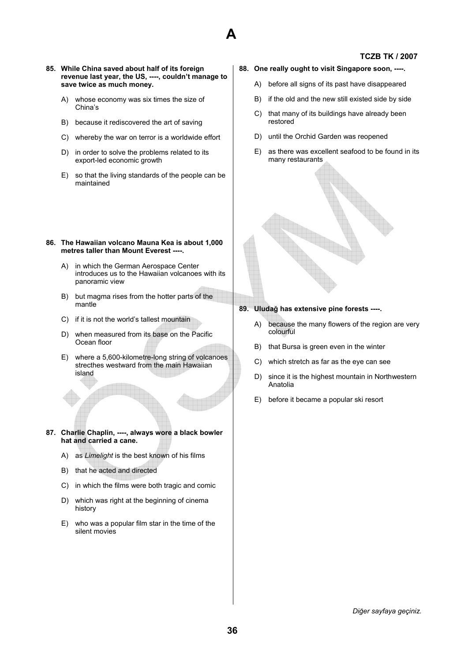

## **85. While China saved about half of its foreign revenue last year, the US, ----, couldn't manage to save twice as much money.**

- A) whose economy was six times the size of China's
- B) because it rediscovered the art of saving
- C) whereby the war on terror is a worldwide effort
- D) in order to solve the problems related to its export-led economic growth
- E) so that the living standards of the people can be maintained

### **86. The Hawaiian volcano Mauna Kea is about 1,000 metres taller than Mount Everest ----.**

- A) in which the German Aerospace Center introduces us to the Hawaiian volcanoes with its panoramic view
- B) but magma rises from the hotter parts of the mantle
- C) if it is not the world's tallest mountain
- D) when measured from its base on the Pacific Ocean floor
- E) where a 5,600-kilometre-long string of volcanoes strecthes westward from the main Hawaiian island
- **87. Charlie Chaplin, ----, always wore a black bowler hat and carried a cane.** 
	- A) as *Limelight* is the best known of his films
	- B) that he acted and directed
	- C) in which the films were both tragic and comic
	- D) which was right at the beginning of cinema history
	- E) who was a popular film star in the time of the silent movies

# **88. One really ought to visit Singapore soon, ----.**

- A) before all signs of its past have disappeared
- B) if the old and the new still existed side by side
- C) that many of its buildings have already been restored
- D) until the Orchid Garden was reopened
- E) as there was excellent seafood to be found in its many restaurants

**89. Uludağ has extensive pine forests ----.** 

- A) because the many flowers of the region are very colourful
- B) that Bursa is green even in the winter
- C) which stretch as far as the eye can see
- D) since it is the highest mountain in Northwestern Anatolia
- E) before it became a popular ski resort

*Diğer sayfaya geçiniz.*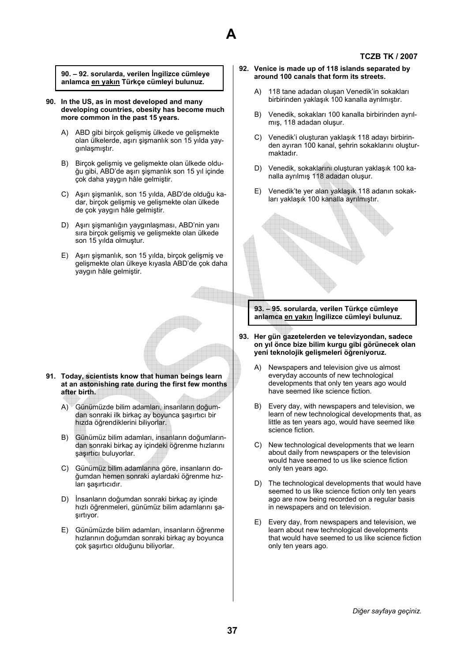

**90. – 92. sorularda, verilen İngilizce cümleye anlamca en yakın Türkçe cümleyi bulunuz.** 

- **90. In the US, as in most developed and many developing countries, obesity has become much more common in the past 15 years.** 
	- A) ABD gibi birçok gelişmiş ülkede ve gelişmekte olan ülkelerde, aşırı şişmanlık son 15 yılda yaygınlaşmıştır.
	- B) Birçok gelişmiş ve gelişmekte olan ülkede olduğu gibi, ABD'de aşırı şişmanlık son 15 yıl içinde çok daha yaygın hâle gelmiştir.
	- C) Aşırı şişmanlık, son 15 yılda, ABD'de olduğu kadar, birçok gelişmiş ve gelişmekte olan ülkede de çok yaygın hâle gelmiştir.
	- D) Aşırı şişmanlığın yaygınlaşması, ABD'nin yanı sıra birçok gelişmiş ve gelişmekte olan ülkede son 15 yılda olmuştur.
	- E) Aşırı şişmanlık, son 15 yılda, birçok gelişmiş ve gelişmekte olan ülkeye kıyasla ABD'de çok daha yaygın hâle gelmiştir.

- **91. Today, scientists know that human beings learn at an astonishing rate during the first few months after birth.** 
	- A) Günümüzde bilim adamları, insanların doğumdan sonraki ilk birkaç ay boyunca şaşırtıcı bir hızda öğrendiklerini biliyorlar.
	- B) Günümüz bilim adamları, insanların doğumlarından sonraki birkaç ay içindeki öğrenme hızlarını şaşırtıcı buluyorlar.
	- C) Günümüz bilim adamlarına göre, insanların doğumdan hemen sonraki aylardaki öğrenme hızları şaşırtıcıdır.
	- D) İnsanların doğumdan sonraki birkaç ay içinde hızlı öğrenmeleri, günümüz bilim adamlarını şaşırtıyor.
	- E) Günümüzde bilim adamları, insanların öğrenme hızlarının doğumdan sonraki birkaç ay boyunca çok şaşırtıcı olduğunu biliyorlar.
- **92. Venice is made up of 118 islands separated by around 100 canals that form its streets.** 
	- A) 118 tane adadan oluşan Venedik'in sokakları birbirinden yaklaşık 100 kanalla ayrılmıştır.
	- B) Venedik, sokakları 100 kanalla birbirinden ayrılmış, 118 adadan oluşur.
	- C) Venedik'i oluşturan yaklaşık 118 adayı birbirinden ayıran 100 kanal, şehrin sokaklarını oluşturmaktadır.
	- D) Venedik, sokaklarını oluşturan yaklaşık 100 kanalla ayrılmış 118 adadan oluşur.
	- E) Venedik'te yer alan yaklaşık 118 adanın sokakları yaklaşık 100 kanalla ayrılmıştır.



**93. – 95. sorularda, verilen Türkçe cümleye anlamca en yakın İngilizce cümleyi bulunuz.** 

- **93. Her gün gazetelerden ve televizyondan, sadece on yıl önce bize bilim kurgu gibi görünecek olan yeni teknolojik gelişmeleri öğreniyoruz.** 
	- A) Newspapers and television give us almost everyday accounts of new technological developments that only ten years ago would have seemed like science fiction.
	- B) Every day, with newspapers and television, we learn of new technological developments that, as little as ten years ago, would have seemed like science fiction.
	- C) New technological developments that we learn about daily from newspapers or the television would have seemed to us like science fiction only ten years ago.
	- D) The technological developments that would have seemed to us like science fiction only ten years ago are now being recorded on a regular basis in newspapers and on television.
	- E) Every day, from newspapers and television, we learn about new technological developments that would have seemed to us like science fiction only ten years ago.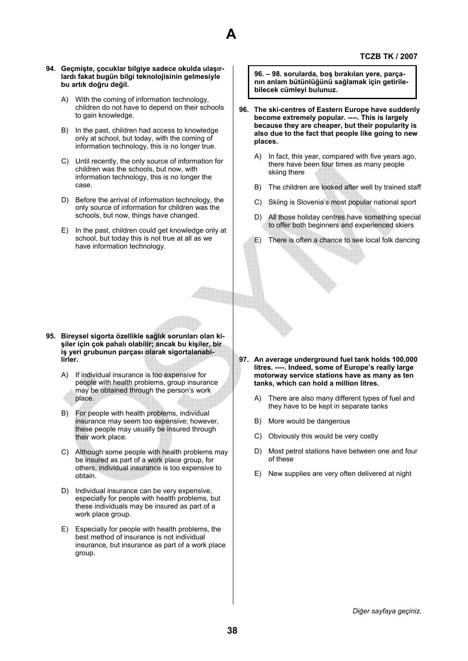#### **94. Geçmişte, çocuklar bilgiye sadece okulda ulaşırlardı fakat bugün bilgi teknolojisinin gelmesiyle bu artık doğru değil.**

A) With the coming of information technology, children do not have to depend on their schools to gain knowledge.

**A** 

- B) In the past, children had access to knowledge only at school, but today, with the coming of information technology, this is no longer true.
- C) Until recently, the only source of information for children was the schools, but now, with information technology, this is no longer the case.
- D) Before the arrival of information technology, the only source of information for children was the schools, but now, things have changed.
- E) In the past, children could get knowledge only at school, but today this is not true at all as we have information technology.

**96. – 98. sorularda, boş bırakılan yere, parçanın anlam bütünlüğünü sağlamak için getirilebilecek cümleyi bulunuz.** 

- **96. The ski-centres of Eastern Europe have suddenly become extremely popular. ----. This is largely because they are cheaper, but their popularity is also due to the fact that people like going to new places.** 
	- A) In fact, this year, compared with five years ago, there have been four times as many people skiing there
	- B) The children are looked after well by trained staff
	- C) Skiing is Slovenia's most popular national sport
	- D) All those holiday centres have something special to offer both beginners and experienced skiers
	- E) There is often a chance to see local folk dancing

- **95. Bireysel sigorta özellikle sağlık sorunları olan kişiler için çok pahalı olabilir; ancak bu kişiler, bir iş yeri grubunun parçası olarak sigortalanabilirler.** 
	- A) If individual insurance is too expensive for people with health problems, group insurance may be obtained through the person's work place.
	- B) For people with health problems, individual insurance may seem too expensive; however, these people may usually be insured through their work place.
	- C) Although some people with health problems may be insured as part of a work place group, for others, individual insurance is too expensive to obtain.
	- D) Individual insurance can be very expensive, especially for people with health problems, but these individuals may be insured as part of a work place group.
	- E) Especially for people with health problems, the best method of insurance is not individual insurance, but insurance as part of a work place group.
- **97. An average underground fuel tank holds 100,000 litres. ----. Indeed, some of Europe's really large motorway service stations have as many as ten tanks, which can hold a million litres.** 
	- A) There are also many different types of fuel and they have to be kept in separate tanks
	- B) More would be dangerous
	- C) Obviously this would be very costly
	- D) Most petrol stations have between one and four of these
	- E) New supplies are very often delivered at night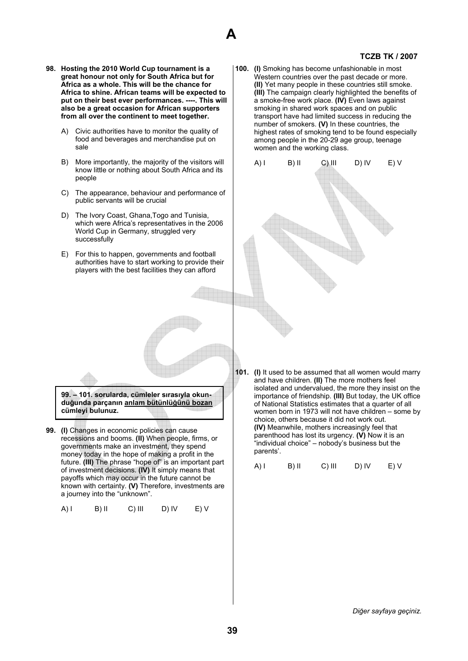

- **98. Hosting the 2010 World Cup tournament is a great honour not only for South Africa but for Africa as a whole. This will be the chance for Africa to shine. African teams will be expected to put on their best ever performances. ----. This will also be a great occasion for African supporters from all over the continent to meet together.** 
	- A) Civic authorities have to monitor the quality of food and beverages and merchandise put on sale
	- B) More importantly, the majority of the visitors will know little or nothing about South Africa and its people
	- C) The appearance, behaviour and performance of public servants will be crucial
	- D) The Ivory Coast, Ghana,Togo and Tunisia, which were Africa's representatives in the 2006 World Cup in Germany, struggled very successfully
	- E) For this to happen, governments and football authorities have to start working to provide their players with the best facilities they can afford

**100. (I)** Smoking has become unfashionable in most Western countries over the past decade or more. **(II)** Yet many people in these countries still smoke. **(III)** The campaign clearly highlighted the benefits of a smoke-free work place. **(IV)** Even laws against smoking in shared work spaces and on public transport have had limited success in reducing the number of smokers. **(V)** In these countries, the highest rates of smoking tend to be found especially among people in the 20-29 age group, teenage women and the working class.



**99. – 101. sorularda, cümleler sırasıyla okunduğunda parçanın anlam bütünlüğünü bozan cümleyi bulunuz.** 

**99. (I)** Changes in economic policies can cause recessions and booms. **(II)** When people, firms, or governments make an investment, they spend money today in the hope of making a profit in the future. **(III)** The phrase "hope of" is an important part of investment decisions. **(IV)** It simply means that payoffs which may occur in the future cannot be known with certainty. **(V)** Therefore, investments are a journey into the "unknown".

$$
A) I \qquad B) II \qquad C) III \qquad D) IV \qquad E) V
$$

**101. (I)** It used to be assumed that all women would marry and have children. **(II)** The more mothers feel isolated and undervalued, the more they insist on the importance of friendship. **(III)** But today, the UK office of National Statistics estimates that a quarter of all women born in 1973 will not have children – some by choice, others because it did not work out. **(IV)** Meanwhile, mothers increasingly feel that parenthood has lost its urgency. **(V)** Now it is an "individual choice" – nobody's business but the parents'.

 $(A)$  I B) II C) III D) IV E) V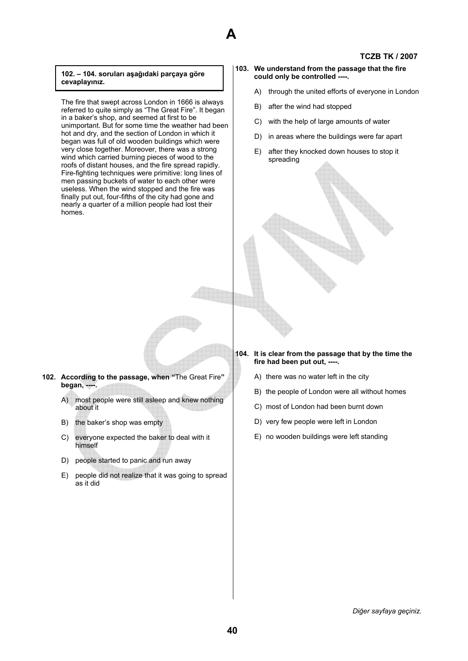# **A**

# **TCZB TK / 2007**

# **102. – 104. soruları aşağıdaki parçaya göre cevaplayınız.**

The fire that swept across London in 1666 is always referred to quite simply as "The Great Fire". It began in a baker's shop, and seemed at first to be unimportant. But for some time the weather had been hot and dry, and the section of London in which it began was full of old wooden buildings which were very close together. Moreover, there was a strong wind which carried burning pieces of wood to the roofs of distant houses, and the fire spread rapidly. Fire-fighting techniques were primitive: long lines of men passing buckets of water to each other were useless. When the wind stopped and the fire was finally put out, four-fifths of the city had gone and nearly a quarter of a million people had lost their homes.

- **103. We understand from the passage that the fire could only be controlled ----.** 
	- A) through the united efforts of everyone in London
	- B) after the wind had stopped
	- C) with the help of large amounts of water
	- D) in areas where the buildings were far apart
	- E) after they knocked down houses to stop it spreading

# **102. According to the passage, when "**The Great Fire**" began, ----.**

- A) most people were still asleep and knew nothing about it
- B) the baker's shop was empty
- C) everyone expected the baker to deal with it himself
- D) people started to panic and run away
- E) people did not realize that it was going to spread as it did

# **104. It is clear from the passage that by the time the fire had been put out, ----.**

- A) there was no water left in the city
- B) the people of London were all without homes
- C) most of London had been burnt down
- D) very few people were left in London
- E) no wooden buildings were left standing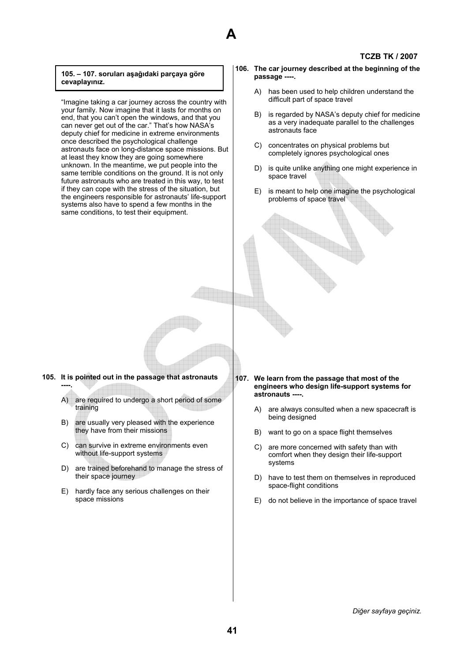# **A**

# **TCZB TK / 2007**

#### **105. – 107. soruları aşağıdaki parçaya göre cevaplayınız.**

"Imagine taking a car journey across the country with your family. Now imagine that it lasts for months on end, that you can't open the windows, and that you can never get out of the car." That's how NASA's deputy chief for medicine in extreme environments once described the psychological challenge astronauts face on long-distance space missions. But at least they know they are going somewhere unknown. In the meantime, we put people into the same terrible conditions on the ground. It is not only future astronauts who are treated in this way, to test if they can cope with the stress of the situation, but the engineers responsible for astronauts' life-support systems also have to spend a few months in the same conditions, to test their equipment.

- **106. The car journey described at the beginning of the passage ----.** 
	- A) has been used to help children understand the difficult part of space travel
	- B) is regarded by NASA's deputy chief for medicine as a very inadequate parallel to the challenges astronauts face
	- C) concentrates on physical problems but completely ignores psychological ones
	- D) is quite unlike anything one might experience in space travel
	- E) is meant to help one imagine the psychological problems of space travel

- **105. It is pointed out in the passage that astronauts ----.** 
	- A) are required to undergo a short period of some training
	- B) are usually very pleased with the experience they have from their missions
	- C) can survive in extreme environments even without life-support systems
	- D) are trained beforehand to manage the stress of their space journey
	- E) hardly face any serious challenges on their space missions
- **107. We learn from the passage that most of the engineers who design life-support systems for astronauts ----.** 
	- A) are always consulted when a new spacecraft is being designed
	- B) want to go on a space flight themselves
	- C) are more concerned with safety than with comfort when they design their life-support systems
	- D) have to test them on themselves in reproduced space-flight conditions
	- E) do not believe in the importance of space travel